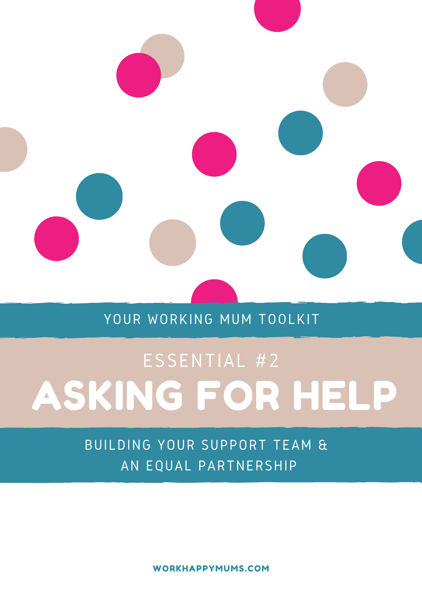

### YOUR WORKING MUM TOOLKIT

# TOOLKIT ASKING FOR HELP ESSENTIAL #2

BUILDING YOUR SUPPORT TEAM & AN EQUAL PARTNERSHIP

WORKHAPPYMUMS.COM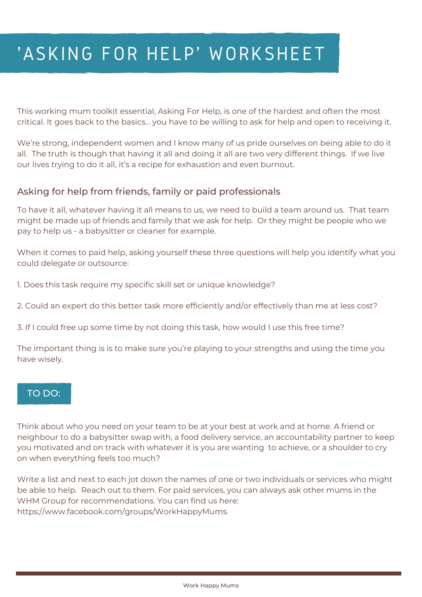## 'ASKING FOR HELP' WORKSHEET

This working mum toolkit essential, Asking For Help, is one of the hardest and often the most critical. It goes back to the basics... you have to be willing to ask for help and open to receiving it.

We're strong, independent women and I know many of us pride ourselves on being able to do it all. The truth is though that having it all and doing it all are two very different things. If we live our lives trying to do it all, it's a recipe for exhaustion and even burnout.

#### Asking for help from friends, family or paid professionals

To have it all, whatever having it all means to us, we need to build a team around us. That team might be made up of friends and family that we ask for help. Or they might be people who we pay to help us - a babysitter or cleaner for example.

When it comes to paid help, asking yourself these three questions will help you identify what you could delegate or outsource:

1. Does this task require my specific skill set or unique knowledge?

2. Could an expert do this better task more efficiently and/or effectively than me at less cost?

3. If I could free up some time by not doing this task, how would I use this free time?

The important thing is is to make sure you're playing to your strengths and using the time you have wisely.

#### TO DO:

Think about who you need on your team to be at your best at work and at home. A friend or neighbour to do a babysitter swap with, a food delivery service, an accountability partner to keep you motivated and on track with whatever it is you are wanting to achieve, or a shoulder to cry on when everything feels too much?

Write a list and next to each jot down the names of one or two individuals or services who might be able to help. Reach out to them. For paid services, you can always ask other mums in the WHM Group for recommendations. You can find us here: https://www.facebook.com/groups/WorkHappyMums.